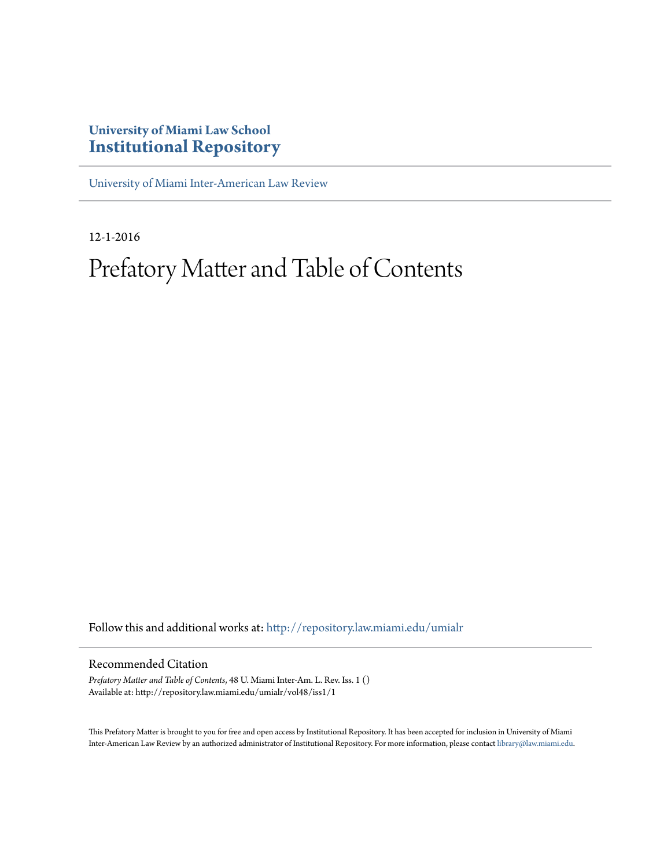## **University of Miami Law School [Institutional Repository](http://repository.law.miami.edu?utm_source=repository.law.miami.edu%2Fumialr%2Fvol48%2Fiss1%2F1&utm_medium=PDF&utm_campaign=PDFCoverPages)**

[University of Miami Inter-American Law Review](http://repository.law.miami.edu/umialr?utm_source=repository.law.miami.edu%2Fumialr%2Fvol48%2Fiss1%2F1&utm_medium=PDF&utm_campaign=PDFCoverPages)

12-1-2016

# Prefatory Matter and Table of Contents

Follow this and additional works at: [http://repository.law.miami.edu/umialr](http://repository.law.miami.edu/umialr?utm_source=repository.law.miami.edu%2Fumialr%2Fvol48%2Fiss1%2F1&utm_medium=PDF&utm_campaign=PDFCoverPages)

#### Recommended Citation

*Prefatory Matter and Table of Contents*, 48 U. Miami Inter-Am. L. Rev. Iss. 1 () Available at: http://repository.law.miami.edu/umialr/vol48/iss1/1

This Prefatory Matter is brought to you for free and open access by Institutional Repository. It has been accepted for inclusion in University of Miami Inter-American Law Review by an authorized administrator of Institutional Repository. For more information, please contact [library@law.miami.edu](mailto:library@law.miami.edu).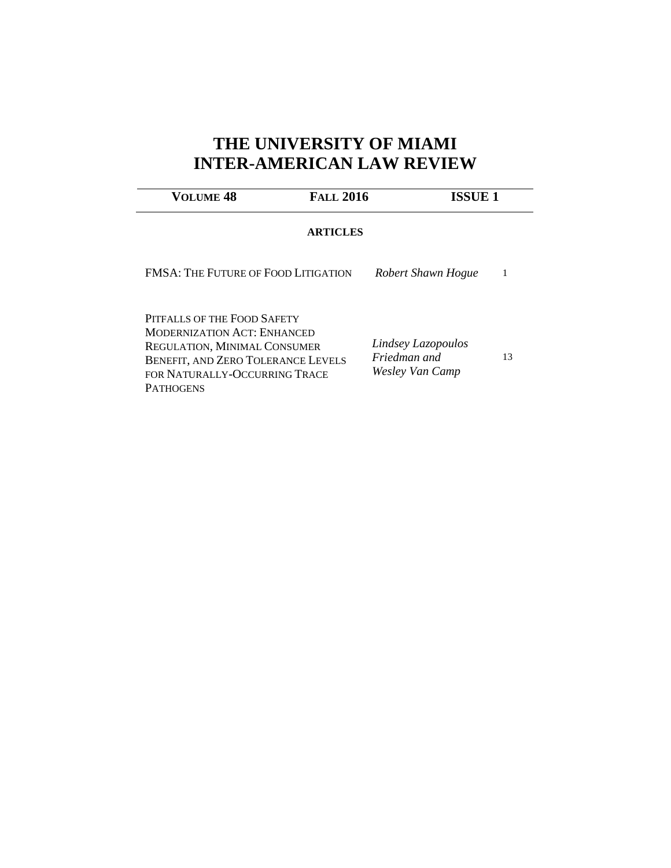# **THE UNIVERSITY OF MIAMI INTER-AMERICAN LAW REVIEW**

| VOLUME 48                                                                                                  | <b>FALL 2016</b> |                                                       | <b>ISSUE 1</b> |  |
|------------------------------------------------------------------------------------------------------------|------------------|-------------------------------------------------------|----------------|--|
|                                                                                                            | <b>ARTICLES</b>  |                                                       |                |  |
| <b>FMSA: THE FUTURE OF FOOD LITIGATION</b>                                                                 |                  | Robert Shawn Hogue                                    |                |  |
| PITEALLS OF THE FOOD SAFETY<br><b>MODERNIZATION ACT: ENHANCED</b>                                          |                  |                                                       |                |  |
| <b>REGULATION, MINIMAL CONSUMER</b><br>BENEFIT, AND ZERO TOLERANCE LEVELS<br>FOR NATURALLY-OCCURRING TRACE |                  | Lindsey Lazopoulos<br>Friedman and<br>Wesley Van Camp | 13             |  |
| <b>PATHOGENS</b>                                                                                           |                  |                                                       |                |  |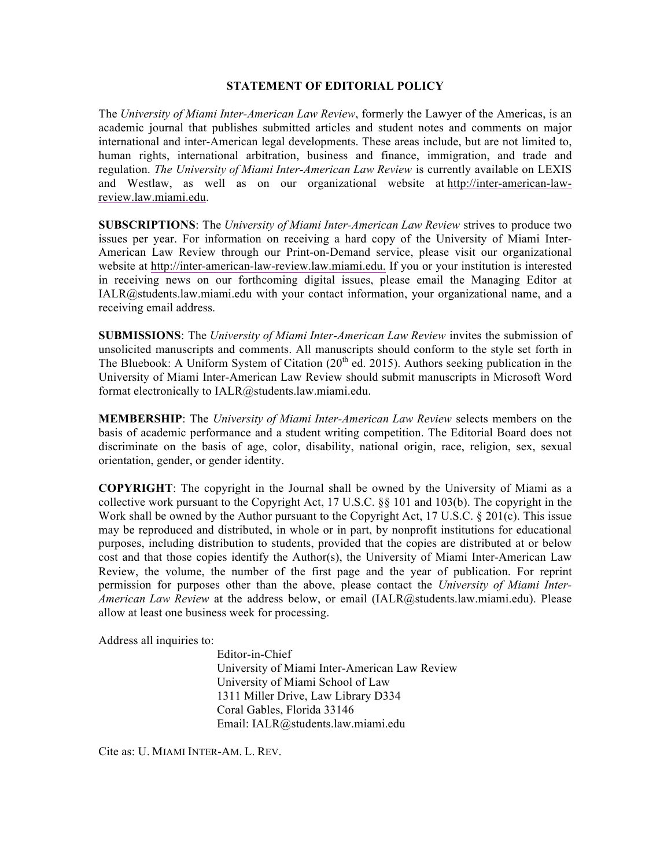#### **STATEMENT OF EDITORIAL POLICY**

The *University of Miami Inter-American Law Review*, formerly the Lawyer of the Americas, is an academic journal that publishes submitted articles and student notes and comments on major international and inter-American legal developments. These areas include, but are not limited to, human rights, international arbitration, business and finance, immigration, and trade and regulation. *The University of Miami Inter-American Law Review* is currently available on LEXIS and Westlaw, as well as on our organizational website at http://inter-american-lawreview.law.miami.edu.

**SUBSCRIPTIONS**: The *University of Miami Inter-American Law Review* strives to produce two issues per year. For information on receiving a hard copy of the University of Miami Inter-American Law Review through our Print-on-Demand service, please visit our organizational website at http://inter-american-law-review.law.miami.edu. If you or your institution is interested in receiving news on our forthcoming digital issues, please email the Managing Editor at IALR@students.law.miami.edu with your contact information, your organizational name, and a receiving email address.

**SUBMISSIONS**: The *University of Miami Inter-American Law Review* invites the submission of unsolicited manuscripts and comments. All manuscripts should conform to the style set forth in The Bluebook: A Uniform System of Citation  $(20<sup>th</sup>$  ed. 2015). Authors seeking publication in the University of Miami Inter-American Law Review should submit manuscripts in Microsoft Word format electronically to IALR@students.law.miami.edu.

**MEMBERSHIP**: The *University of Miami Inter-American Law Review* selects members on the basis of academic performance and a student writing competition. The Editorial Board does not discriminate on the basis of age, color, disability, national origin, race, religion, sex, sexual orientation, gender, or gender identity.

**COPYRIGHT**: The copyright in the Journal shall be owned by the University of Miami as a collective work pursuant to the Copyright Act, 17 U.S.C. §§ 101 and 103(b). The copyright in the Work shall be owned by the Author pursuant to the Copyright Act, 17 U.S.C. § 201(c). This issue may be reproduced and distributed, in whole or in part, by nonprofit institutions for educational purposes, including distribution to students, provided that the copies are distributed at or below cost and that those copies identify the Author(s), the University of Miami Inter-American Law Review, the volume, the number of the first page and the year of publication. For reprint permission for purposes other than the above, please contact the *University of Miami Inter-American Law Review* at the address below, or email (IALR@students.law.miami.edu). Please allow at least one business week for processing.

Address all inquiries to:

Editor-in-Chief University of Miami Inter-American Law Review University of Miami School of Law 1311 Miller Drive, Law Library D334 Coral Gables, Florida 33146 Email: IALR@students.law.miami.edu

Cite as: U. MIAMI INTER-AM. L. REV.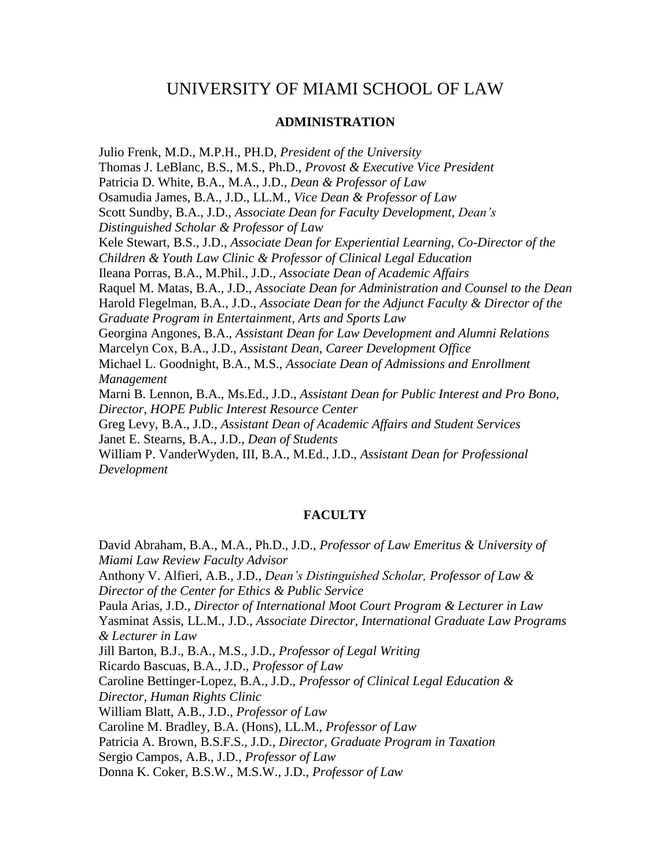### UNIVERSITY OF MIAMI SCHOOL OF LAW

#### **ADMINISTRATION**

Julio Frenk, M.D., M.P.H., PH.D, *President of the University* Thomas J. LeBlanc, B.S., M.S., Ph.D., *Provost & Executive Vice President* Patricia D. White, B.A., M.A., J.D., *Dean & Professor of Law* Osamudia James, B.A., J.D., LL.M., *Vice Dean & Professor of Law* Scott Sundby, B.A., J.D., *Associate Dean for Faculty Development, Dean's Distinguished Scholar & Professor of Law* Kele Stewart, B.S., J.D., *Associate Dean for Experiential Learning, Co-Director of the Children & Youth Law Clinic & Professor of Clinical Legal Education* Ileana Porras, B.A., M.Phil., J.D., *Associate Dean of Academic Affairs* Raquel M. Matas, B.A., J.D., *Associate Dean for Administration and Counsel to the Dean* Harold Flegelman, B.A., J.D., *Associate Dean for the Adjunct Faculty & Director of the Graduate Program in Entertainment, Arts and Sports Law* Georgina Angones, B.A., *Assistant Dean for Law Development and Alumni Relations* Marcelyn Cox, B.A., J.D., *Assistant Dean, Career Development Office* Michael L. Goodnight, B.A., M.S., *Associate Dean of Admissions and Enrollment Management* Marni B. Lennon, B.A., Ms.Ed., J.D., *Assistant Dean for Public Interest and Pro Bono, Director, HOPE Public Interest Resource Center* Greg Levy, B.A., J.D., *Assistant Dean of Academic Affairs and Student Services* Janet E. Stearns, B.A., J.D., *Dean of Students* William P. VanderWyden, III, B.A., M.Ed., J.D., *Assistant Dean for Professional Development*

#### **FACULTY**

David Abraham, B.A., M.A., Ph.D., J.D., *Professor of Law Emeritus & University of Miami Law Review Faculty Advisor* Anthony V. Alfieri, A.B., J.D., *Dean's Distinguished Scholar, Professor of Law & Director of the Center for Ethics & Public Service* Paula Arias, J.D., *Director of International Moot Court Program & Lecturer in Law* Yasminat Assis, LL.M., J.D., *Associate Director, International Graduate Law Programs & Lecturer in Law* Jill Barton, B.J., B.A., M.S., J.D., *Professor of Legal Writing*  Ricardo Bascuas, B.A., J.D., *Professor of Law* Caroline Bettinger-Lopez, B.A., J.D., *Professor of Clinical Legal Education & Director, Human Rights Clinic* William Blatt, A.B., J.D., *Professor of Law* Caroline M. Bradley, B.A. (Hons), LL.M., *Professor of Law* Patricia A. Brown, B.S.F.S., J.D., *Director, Graduate Program in Taxation* Sergio Campos, A.B., J.D., *Professor of Law* Donna K. Coker, B.S.W., M.S.W., J.D., *Professor of Law*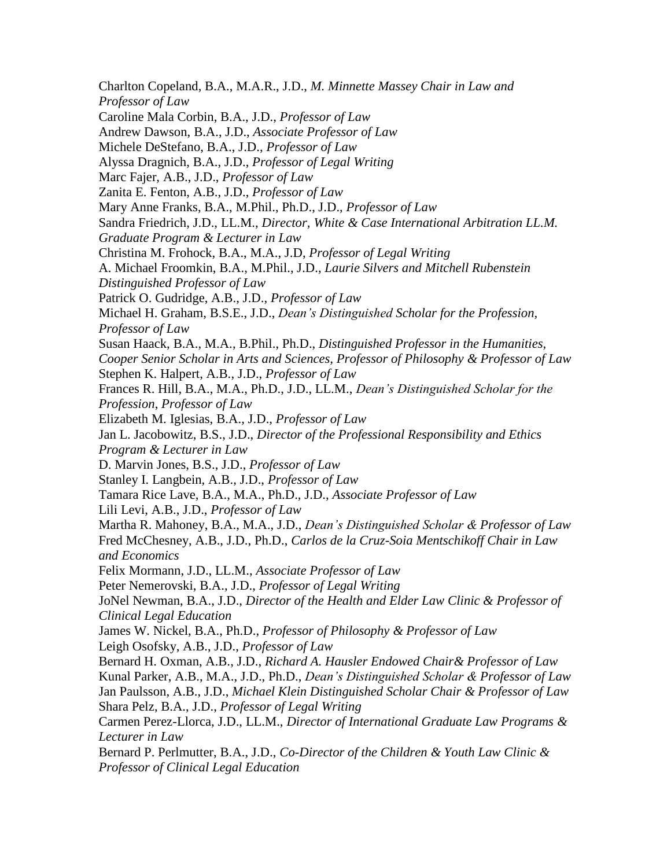Charlton Copeland, B.A., M.A.R., J.D., *M. Minnette Massey Chair in Law and Professor of Law* Caroline Mala Corbin, B.A., J.D., *Professor of Law* Andrew Dawson, B.A., J.D., *Associate Professor of Law* Michele DeStefano, B.A., J.D., *Professor of Law* Alyssa Dragnich, B.A., J.D., *Professor of Legal Writing* Marc Fajer, A.B., J.D., *Professor of Law* Zanita E. Fenton, A.B., J.D., *Professor of Law* Mary Anne Franks, B.A., M.Phil., Ph.D., J.D., *Professor of Law* Sandra Friedrich, J.D., LL.M., *Director, White & Case International Arbitration LL.M. Graduate Program & Lecturer in Law* Christina M. Frohock, B.A., M.A., J.D, *Professor of Legal Writing* A. Michael Froomkin, B.A., M.Phil., J.D., *Laurie Silvers and Mitchell Rubenstein Distinguished Professor of Law* Patrick O. Gudridge, A.B., J.D., *Professor of Law* Michael H. Graham, B.S.E., J.D., *Dean's Distinguished Scholar for the Profession, Professor of Law* Susan Haack, B.A., M.A., B.Phil., Ph.D., *Distinguished Professor in the Humanities, Cooper Senior Scholar in Arts and Sciences, Professor of Philosophy & Professor of Law* Stephen K. Halpert, A.B., J.D., *Professor of Law* Frances R. Hill, B.A., M.A., Ph.D., J.D., LL.M., *Dean's Distinguished Scholar for the Profession*, *Professor of Law* Elizabeth M. Iglesias, B.A., J.D., *Professor of Law* Jan L. Jacobowitz, B.S., J.D., *Director of the Professional Responsibility and Ethics Program & Lecturer in Law* D. Marvin Jones, B.S., J.D., *Professor of Law* Stanley I. Langbein, A.B., J.D., *Professor of Law* Tamara Rice Lave, B.A., M.A., Ph.D., J.D., *Associate Professor of Law*  Lili Levi, A.B., J.D., *Professor of Law* Martha R. Mahoney, B.A., M.A., J.D., *Dean's Distinguished Scholar & Professor of Law* Fred McChesney, A.B., J.D., Ph.D., *Carlos de la Cruz-Soia Mentschikoff Chair in Law and Economics* Felix Mormann, J.D., LL.M., *Associate Professor of Law* Peter Nemerovski, B.A., J.D., *Professor of Legal Writing* JoNel Newman, B.A., J.D., *Director of the Health and Elder Law Clinic & Professor of Clinical Legal Education* James W. Nickel, B.A., Ph.D., *Professor of Philosophy & Professor of Law* Leigh Osofsky, A.B., J.D., *Professor of Law* Bernard H. Oxman, A.B., J.D., *Richard A. Hausler Endowed Chair& Professor of Law* Kunal Parker, A.B., M.A., J.D., Ph.D., *Dean's Distinguished Scholar & Professor of Law* Jan Paulsson, A.B., J.D., *Michael Klein Distinguished Scholar Chair & Professor of Law*  Shara Pelz, B.A., J.D., *Professor of Legal Writing* Carmen Perez-Llorca, J.D., LL.M., *Director of International Graduate Law Programs & Lecturer in Law* Bernard P. Perlmutter, B.A., J.D., *Co-Director of the Children & Youth Law Clinic & Professor of Clinical Legal Education*